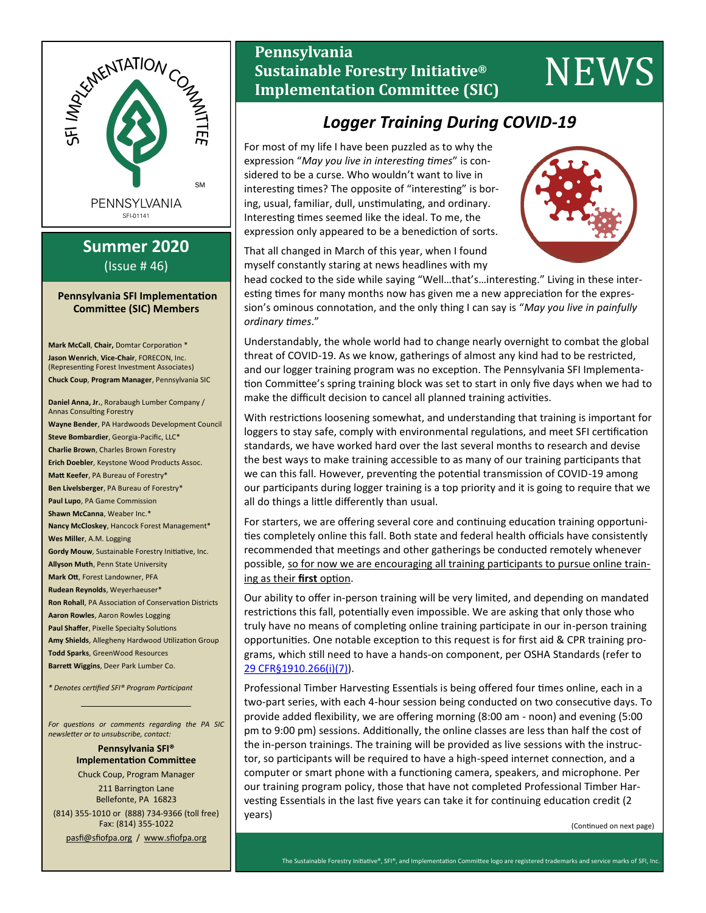

# **Summer 2020** (Issue # 46)

## **Pennsylvania SFI Implementation Committee (SIC) Members**

**Mark McCall**, **Chair,** Domtar Corporation \* **Jason Wenrich**, **Vice-Chair**, FORECON, Inc. (Representing Forest Investment Associates) **Chuck Coup**, **Program Manager**, Pennsylvania SIC

**Daniel Anna, Jr.**, Rorabaugh Lumber Company / Annas Consulting Forestry **Wayne Bender**, PA Hardwoods Development Council **Steve Bombardier**, Georgia-Pacific, LLC\* **Charlie Brown**, Charles Brown Forestry **Erich Doebler**, Keystone Wood Products Assoc. **Matt Keefer**, PA Bureau of Forestry\* **Ben Livelsberger**, PA Bureau of Forestry\* **Paul Lupo**, PA Game Commission **Shawn McCanna**, Weaber Inc.\* **Nancy McCloskey**, Hancock Forest Management\* **Wes Miller**, A.M. Logging **Gordy Mouw**, Sustainable Forestry Initiative, Inc. **Allyson Muth**, Penn State University **Mark Ott**, Forest Landowner, PFA **Rudean Reynolds**, Weyerhaeuser\* **Ron Rohall**, PA Association of Conservation Districts **Aaron Rowles**, Aaron Rowles Logging **Paul Shaffer**, Pixelle Specialty Solutions **Amy Shields**, Allegheny Hardwood Utilization Group **Todd Sparks**, GreenWood Resources **Barrett Wiggins**, Deer Park Lumber Co.

*\* Denotes certified SFI® Program Participant*

*For questions or comments regarding the PA SIC newsletter or to unsubscribe, contact:*

> **Pennsylvania SFI® Implementation Committee**

Chuck Coup, Program Manager 211 Barrington Lane Bellefonte, PA 16823 (814) 355-1010 or (888) 734-9366 (toll free) Fax: (814) 355-1022 pasfi@sfiofpa.org / [www.sfiofpa.org](http://www.sfiofpa.org)

# **Pennsylvania Sustainable Forestry Initiative® Implementation Committee (SIC)** NEWS

# *Logger Training During COVID-19*

For most of my life I have been puzzled as to why the expression "*May you live in interesting times*" is considered to be a curse. Who wouldn't want to live in interesting times? The opposite of "interesting" is boring, usual, familiar, dull, unstimulating, and ordinary. Interesting times seemed like the ideal. To me, the expression only appeared to be a benediction of sorts.



That all changed in March of this year, when I found myself constantly staring at news headlines with my

head cocked to the side while saying "Well…that's…interesting." Living in these interesting times for many months now has given me a new appreciation for the expression's ominous connotation, and the only thing I can say is "*May you live in painfully ordinary times*."

Understandably, the whole world had to change nearly overnight to combat the global threat of COVID-19. As we know, gatherings of almost any kind had to be restricted, and our logger training program was no exception. The Pennsylvania SFI Implementation Committee's spring training block was set to start in only five days when we had to make the difficult decision to cancel all planned training activities.

With restrictions loosening somewhat, and understanding that training is important for loggers to stay safe, comply with environmental regulations, and meet SFI certification standards, we have worked hard over the last several months to research and devise the best ways to make training accessible to as many of our training participants that we can this fall. However, preventing the potential transmission of COVID-19 among our participants during logger training is a top priority and it is going to require that we all do things a little differently than usual.

For starters, we are offering several core and continuing education training opportunities completely online this fall. Both state and federal health officials have consistently recommended that meetings and other gatherings be conducted remotely whenever possible, so for now we are encouraging all training participants to pursue online training as their **first** option.

Our ability to offer in-person training will be very limited, and depending on mandated restrictions this fall, potentially even impossible. We are asking that only those who truly have no means of completing online training participate in our in-person training opportunities. One notable exception to this request is for first aid & CPR training programs, which still need to have a hands-on component, per OSHA Standards (refer to [29 CFR§1910.266\(i\)\(7\)\).](https://www.osha.gov/laws-regs/regulations/standardnumber/1910/1910.266AppB)

Professional Timber Harvesting Essentials is being offered four times online, each in a two-part series, with each 4-hour session being conducted on two consecutive days. To provide added flexibility, we are offering morning (8:00 am - noon) and evening (5:00 pm to 9:00 pm) sessions. Additionally, the online classes are less than half the cost of the in-person trainings. The training will be provided as live sessions with the instructor, so participants will be required to have a high-speed internet connection, and a computer or smart phone with a functioning camera, speakers, and microphone. Per our training program policy, those that have not completed Professional Timber Harvesting Essentials in the last five years can take it for continuing education credit (2 years)

(Continued on next page)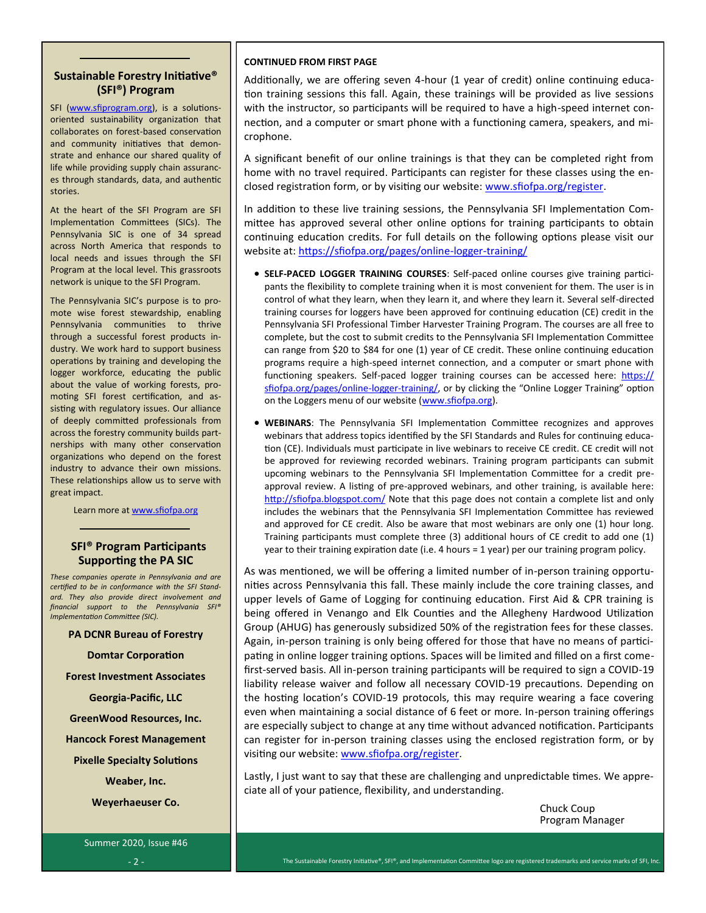# **Sustainable Forestry Initiative® (SFI®) Program**

SFI [\(www.sfiprogram.org\),](http://www.sfiprogram.org) is a solutionsoriented sustainability organization that collaborates on forest-based conservation and community initiatives that demonstrate and enhance our shared quality of life while providing supply chain assurances through standards, data, and authentic stories.

At the heart of the SFI Program are SFI Implementation Committees (SICs). The Pennsylvania SIC is one of 34 spread across North America that responds to local needs and issues through the SFI Program at the local level. This grassroots network is unique to the SFI Program.

The Pennsylvania SIC's purpose is to promote wise forest stewardship, enabling Pennsylvania communities to thrive through a successful forest products industry. We work hard to support business operations by training and developing the logger workforce, educating the public about the value of working forests, promoting SFI forest certification, and assisting with regulatory issues. Our alliance of deeply committed professionals from across the forestry community builds partnerships with many other conservation organizations who depend on the forest industry to advance their own missions. These relationships allow us to serve with great impact.

Learn more at [www.sfiofpa.org](http://www.sfiofpa.org)

## **SFI® Program Participants Supporting the PA SIC**

*These companies operate in Pennsylvania and are certified to be in conformance with the SFI Standard. They also provide direct involvement and financial support to the Pennsylvania SFI® Implementation Committee (SIC).*

**PA DCNR Bureau of Forestry Domtar Corporation Forest Investment Associates Georgia-Pacific, LLC GreenWood Resources, Inc. Hancock Forest Management Pixelle Specialty Solutions Weaber, Inc. Weyerhaeuser Co.**

Summer 2020, Issue #46

## **CONTINUED FROM FIRST PAGE**

Additionally, we are offering seven 4-hour (1 year of credit) online continuing education training sessions this fall. Again, these trainings will be provided as live sessions with the instructor, so participants will be required to have a high-speed internet connection, and a computer or smart phone with a functioning camera, speakers, and microphone.

A significant benefit of our online trainings is that they can be completed right from home with no travel required. Participants can register for these classes using the enclosed registration form, or by visiting our website: [www.sfiofpa.org/register.](http://www.sfiofpa.org/register)

In addition to these live training sessions, the Pennsylvania SFI Implementation Committee has approved several other online options for training participants to obtain continuing education credits. For full details on the following options please visit our website at: [https://sfiofpa.org/pages/online](https://sfiofpa.org/pages/online-logger-training/)-logger-training/

- **SELF-PACED LOGGER TRAINING COURSES**: Self-paced online courses give training participants the flexibility to complete training when it is most convenient for them. The user is in control of what they learn, when they learn it, and where they learn it. Several self-directed training courses for loggers have been approved for continuing education (CE) credit in the Pennsylvania SFI Professional Timber Harvester Training Program. The courses are all free to complete, but the cost to submit credits to the Pennsylvania SFI Implementation Committee can range from \$20 to \$84 for one (1) year of CE credit. These online continuing education programs require a high-speed internet connection, and a computer or smart phone with functioning speakers. Self-paced logger training courses can be accessed here: [https://](https://sfiofpa.org/pages/online-logger-training/) [sfiofpa.org/pages/online](https://sfiofpa.org/pages/online-logger-training/)-logger-training/, or by clicking the "Online Logger Training" option on the Loggers menu of our website [\(www.sfiofpa.org\).](http://www.sfiofpa.org/)
- **WEBINARS**: The Pennsylvania SFI Implementation Committee recognizes and approves webinars that address topics identified by the SFI Standards and Rules for continuing education (CE). Individuals must participate in live webinars to receive CE credit. CE credit will not be approved for reviewing recorded webinars. Training program participants can submit upcoming webinars to the Pennsylvania SFI Implementation Committee for a credit preapproval review. A listing of pre-approved webinars, and other training, is available here: <http://sfiofpa.blogspot.com/> Note that this page does not contain a complete list and only includes the webinars that the Pennsylvania SFI Implementation Committee has reviewed and approved for CE credit. Also be aware that most webinars are only one (1) hour long. Training participants must complete three (3) additional hours of CE credit to add one (1) year to their training expiration date (i.e. 4 hours = 1 year) per our training program policy.

As was mentioned, we will be offering a limited number of in-person training opportunities across Pennsylvania this fall. These mainly include the core training classes, and upper levels of Game of Logging for continuing education. First Aid & CPR training is being offered in Venango and Elk Counties and the Allegheny Hardwood Utilization Group (AHUG) has generously subsidized 50% of the registration fees for these classes. Again, in-person training is only being offered for those that have no means of participating in online logger training options. Spaces will be limited and filled on a first comefirst-served basis. All in-person training participants will be required to sign a COVID-19 liability release waiver and follow all necessary COVID-19 precautions. Depending on the hosting location's COVID-19 protocols, this may require wearing a face covering even when maintaining a social distance of 6 feet or more. In-person training offerings are especially subject to change at any time without advanced notification. Participants can register for in-person training classes using the enclosed registration form, or by visiting our website: [www.sfiofpa.org/register.](http://www.sfiofpa.org/register)

Lastly, I just want to say that these are challenging and unpredictable times. We appreciate all of your patience, flexibility, and understanding.

> Chuck Coup Program Manager

- 2 -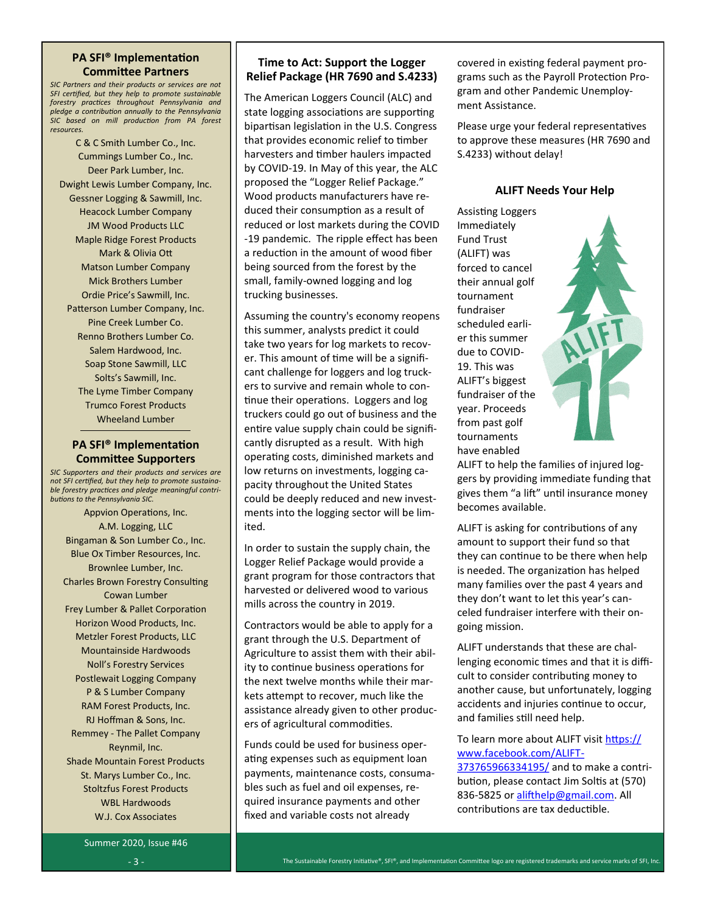# **PA SFI® Implementation Committee Partners**

*SIC Partners and their products or services are not SFI certified, but they help to promote sustainable forestry practices throughout Pennsylvania and pledge a contribution annually to the Pennsylvania SIC based on mill production from PA forest resources.*

C & C Smith Lumber Co., Inc. Cummings Lumber Co., Inc. Deer Park Lumber, Inc. Dwight Lewis Lumber Company, Inc. Gessner Logging & Sawmill, Inc. Heacock Lumber Company JM Wood Products LLC Maple Ridge Forest Products Mark & Olivia Ott Matson Lumber Company Mick Brothers Lumber Ordie Price's Sawmill, Inc. Patterson Lumber Company, Inc. Pine Creek Lumber Co. Renno Brothers Lumber Co. Salem Hardwood, Inc. Soap Stone Sawmill, LLC Solts's Sawmill, Inc. The Lyme Timber Company Trumco Forest Products Wheeland Lumber

## **PA SFI® Implementation Committee Supporters**

*SIC Supporters and their products and services are not SFI certified, but they help to promote sustainable forestry practices and pledge meaningful contributions to the Pennsylvania SIC.*

Appvion Operations, Inc. A.M. Logging, LLC Bingaman & Son Lumber Co., Inc. Blue Ox Timber Resources, Inc. Brownlee Lumber, Inc. Charles Brown Forestry Consulting Cowan Lumber Frey Lumber & Pallet Corporation Horizon Wood Products, Inc. Metzler Forest Products, LLC Mountainside Hardwoods Noll's Forestry Services Postlewait Logging Company P & S Lumber Company RAM Forest Products, Inc. RJ Hoffman & Sons, Inc. Remmey - The Pallet Company Reynmil, Inc. Shade Mountain Forest Products St. Marys Lumber Co., Inc. Stoltzfus Forest Products WBL Hardwoods W.J. Cox Associates

Summer 2020, Issue #46

# **Time to Act: Support the Logger Relief Package (HR 7690 and S.4233)**

The American Loggers Council (ALC) and state logging associations are supporting bipartisan legislation in the U.S. Congress that provides economic relief to timber harvesters and timber haulers impacted by COVID-19. In May of this year, the ALC proposed the "Logger Relief Package." Wood products manufacturers have reduced their consumption as a result of reduced or lost markets during the COVID -19 pandemic. The ripple effect has been a reduction in the amount of wood fiber being sourced from the forest by the small, family-owned logging and log trucking businesses.

Assuming the country's economy reopens this summer, analysts predict it could take two years for log markets to recover. This amount of time will be a significant challenge for loggers and log truckers to survive and remain whole to continue their operations. Loggers and log truckers could go out of business and the entire value supply chain could be significantly disrupted as a result. With high operating costs, diminished markets and low returns on investments, logging capacity throughout the United States could be deeply reduced and new investments into the logging sector will be limited.

In order to sustain the supply chain, the Logger Relief Package would provide a grant program for those contractors that harvested or delivered wood to various mills across the country in 2019.

Contractors would be able to apply for a grant through the U.S. Department of Agriculture to assist them with their ability to continue business operations for the next twelve months while their markets attempt to recover, much like the assistance already given to other producers of agricultural commodities.

Funds could be used for business operating expenses such as equipment loan payments, maintenance costs, consumables such as fuel and oil expenses, required insurance payments and other fixed and variable costs not already

covered in existing federal payment programs such as the Payroll Protection Program and other Pandemic Unemployment Assistance.

Please urge your federal representatives to approve these measures (HR 7690 and S.4233) without delay!

# **ALIFT Needs Your Help**

Assisting Loggers Immediately Fund Trust (ALIFT) was forced to cancel their annual golf tournament fundraiser scheduled earlier this summer due to COVID-19. This was ALIFT's biggest fundraiser of the year. Proceeds from past golf tournaments have enabled

ALIFT to help the families of injured loggers by providing immediate funding that gives them "a lift" until insurance money becomes available.

ALIFT is asking for contributions of any amount to support their fund so that they can continue to be there when help is needed. The organization has helped many families over the past 4 years and they don't want to let this year's canceled fundraiser interfere with their ongoing mission.

ALIFT understands that these are challenging economic times and that it is difficult to consider contributing money to another cause, but unfortunately, logging accidents and injuries continue to occur, and families still need help.

To learn more about ALIFT visit [https://](https://www.facebook.com/ALIFT-373765966334195/) [www.facebook.com/ALIFT](https://www.facebook.com/ALIFT-373765966334195/)-[373765966334195/](https://www.facebook.com/ALIFT-373765966334195/) and to make a contribution, please contact Jim Soltis at (570) 836-5825 or [alifthelp@gmail.com.](mailto:alifthelp@gmail.com) All contributions are tax deductible.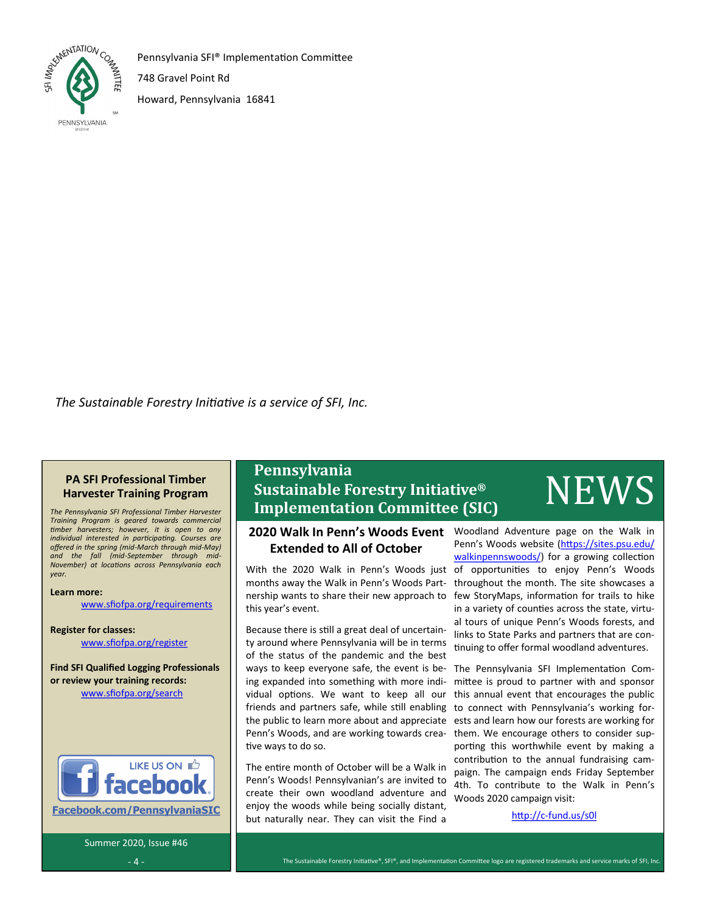

Pennsylvania SFI® Implementation Committee

748 Gravel Point Rd

Howard, Pennsylvania 16841

*The Sustainable Forestry Initiative is a service of SFI, Inc.*

# **PA SFI Professional Timber Harvester Training Program**

*The Pennsylvania SFI Professional Timber Harvester Training Program is geared towards commercial timber harvesters; however, it is open to any individual interested in participating. Courses are offered in the spring (mid-March through mid-May) and the fall (mid-September through mid-November) at locations across Pennsylvania each year.*

**Learn more:**

[www.sfiofpa.org/requirements](http://www.sfiofpa.org/requirements)

**Register for classes:** [www.sfiofpa.org/register](http://www.sfiofpa.org/register)

**Find SFI Qualified Logging Professionals or review your training records:** [www.sfiofpa.org/search](http://www.sfiofpa.org/search)



Summer 2020, Issue #46 - 4 -

# **Pennsylvania Sustainable Forestry Initiative® Instainable Forestry Initiative®**<br>**Implementation Committee (SIC)** NEWS

# **Extended to All of October**

With the 2020 Walk in Penn's Woods just of opportunities to enjoy Penn's Woods months away the Walk in Penn's Woods Part-throughout the month. The site showcases a nership wants to share their new approach to few StoryMaps, information for trails to hike this year's event.

Because there is still a great deal of uncertainty around where Pennsylvania will be in terms of the status of the pandemic and the best ways to keep everyone safe, the event is being expanded into something with more individual options. We want to keep all our friends and partners safe, while still enabling to connect with Pennsylvania's working forthe public to learn more about and appreciate ests and learn how our forests are working for Penn's Woods, and are working towards crea-them. We encourage others to consider suptive ways to do so.

The entire month of October will be a Walk in Penn's Woods! Pennsylvanian's are invited to create their own woodland adventure and enjoy the woods while being socially distant, but naturally near. They can visit the Find a

**2020 Walk In Penn's Woods Event**  Woodland Adventure page on the Walk in Penn's Woods website [\(https://sites.psu.edu/](https://sites.psu.edu/walkinpennswoods/) [walkinpennswoods/\)](https://sites.psu.edu/walkinpennswoods/) for a growing collection in a variety of counties across the state, virtual tours of unique Penn's Woods forests, and links to State Parks and partners that are continuing to offer formal woodland adventures.

> The Pennsylvania SFI Implementation Committee is proud to partner with and sponsor this annual event that encourages the public porting this worthwhile event by making a contribution to the annual fundraising campaign. The campaign ends Friday September 4th. To contribute to the Walk in Penn's Woods 2020 campaign visit:

> > http://c-[fund.us/s0l](http://c-fund.us/s0l)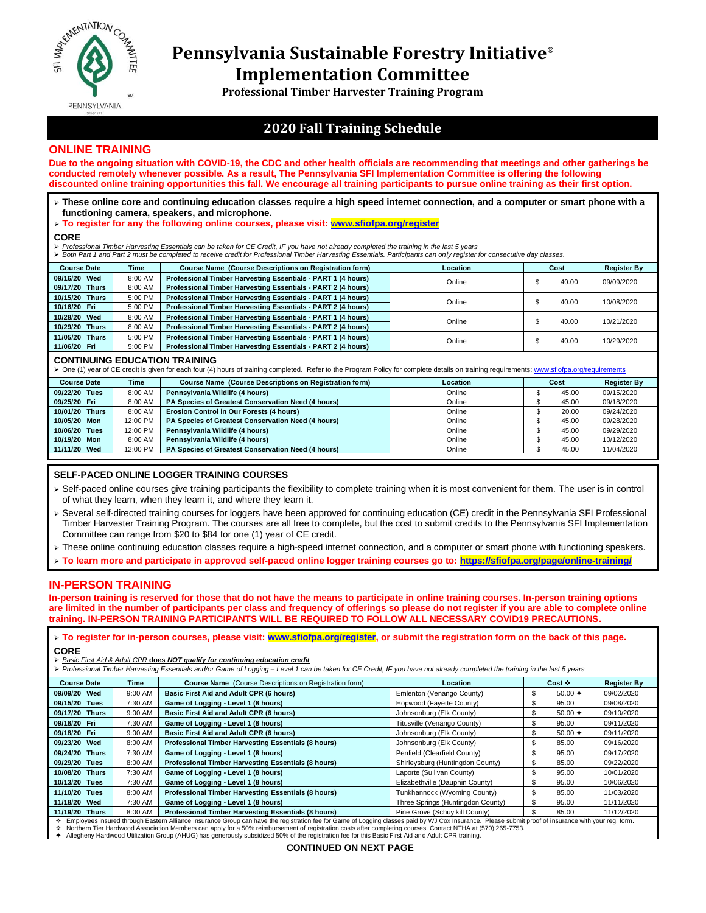

# **Pennsylvania Sustainable Forestry Initiative® Implementation Committee**

**Professional Timber Harvester Training Program**

# **2020 Fall Training Schedule**

## **ONLINE TRAINING**

**Due to the ongoing situation with COVID-19, the CDC and other health officials are recommending that meetings and other gatherings be conducted remotely whenever possible. As a result, The Pennsylvania SFI Implementation Committee is offering the following discounted online training opportunities this fall. We encourage all training participants to pursue online training as their first option.**

#### ➢ **These online core and continuing education classes require a high speed internet connection, and a computer or smart phone with a functioning camera, speakers, and microphone.**

➢ **To register for any the following online courses, please visit: [www.sfiofpa.org/register](http://www.sfiofpa.org/register)**

#### **CORE**

≻ Professional Timber Harvesting Essentials can be taken for CE Credit, IF you have not already completed the training in the last 5 years<br>≻ Both Part 1 and Part 2 must be completed to receive credit for Professional Timb

| <b>Course Date</b>       | <b>Time</b> | <b>Course Name (Course Descriptions on Registration form)</b> | Location | Cost  | <b>Register By</b> |
|--------------------------|-------------|---------------------------------------------------------------|----------|-------|--------------------|
| 09/16/20 Wed             | 8:00 AM     | Professional Timber Harvesting Essentials - PART 1 (4 hours)  | Online   | 40.00 | 09/09/2020         |
| Thurs<br>09/17/20        | 8:00 AM     | Professional Timber Harvesting Essentials - PART 2 (4 hours)  |          |       |                    |
| 10/15/20 Thurs           | 5:00 PM     | Professional Timber Harvesting Essentials - PART 1 (4 hours)  | Online   | 40.00 | 10/08/2020         |
| 10/16/20 Fri             | 5:00 PM     | Professional Timber Harvesting Essentials - PART 2 (4 hours)  |          |       |                    |
| Wed<br>10/28/20          | 8:00 AM     | Professional Timber Harvesting Essentials - PART 1 (4 hours)  | Online   | 40.00 | 10/21/2020         |
| <b>Thurs</b><br>10/29/20 | 8:00 AM     | Professional Timber Harvesting Essentials - PART 2 (4 hours)  |          |       |                    |
| 11/05/20<br><b>Thurs</b> | 5:00 PM     | Professional Timber Harvesting Essentials - PART 1 (4 hours)  | Online   | 40.00 | 10/29/2020         |
| 11/06/20 Fri             | 5:00 PM     | Professional Timber Harvesting Essentials - PART 2 (4 hours)  |          |       |                    |
|                          |             |                                                               |          |       |                    |

#### **CONTINUING EDUCATION TRAINING**

| > One (1) year of CE credit is given for each four (4) hours of training completed. Refer to the Program Policy for complete details on training requirements: www.sfiofpa.org/requirements |          |                                                               |          |      |       |                    |  |
|---------------------------------------------------------------------------------------------------------------------------------------------------------------------------------------------|----------|---------------------------------------------------------------|----------|------|-------|--------------------|--|
| <b>Course Date</b>                                                                                                                                                                          | Time     | <b>Course Name (Course Descriptions on Registration form)</b> | Location | Cost |       | <b>Register By</b> |  |
| 09/22/20 Tues                                                                                                                                                                               | 8:00 AM  | Pennsylvania Wildlife (4 hours)                               | Online   |      | 45.00 | 09/15/2020         |  |
| 09/25/20 Fri                                                                                                                                                                                | 8:00 AM  | PA Species of Greatest Conservation Need (4 hours)            | Online   |      | 45.00 | 09/18/2020         |  |
| 10/01/20 Thurs                                                                                                                                                                              | 8:00 AM  | Erosion Control in Our Forests (4 hours)                      | Online   |      | 20.00 | 09/24/2020         |  |
| 10/05/20 Mon                                                                                                                                                                                | 12:00 PM | PA Species of Greatest Conservation Need (4 hours)            | Online   |      | 45.00 | 09/28/2020         |  |
| 10/06/20<br><b>Tues</b>                                                                                                                                                                     | 12:00 PM | Pennsylvania Wildlife (4 hours)                               | Online   |      | 45.00 | 09/29/2020         |  |
| 10/19/20 Mon                                                                                                                                                                                | 8:00 AM  | Pennsylvania Wildlife (4 hours)                               | Online   |      | 45.00 | 10/12/2020         |  |
| 11/11/20 Wed                                                                                                                                                                                | 12:00 PM | PA Species of Greatest Conservation Need (4 hours)            | Online   |      | 45.00 | 11/04/2020         |  |
|                                                                                                                                                                                             |          |                                                               |          |      |       |                    |  |

#### **SELF-PACED ONLINE LOGGER TRAINING COURSES**

➢ Self-paced online courses give training participants the flexibility to complete training when it is most convenient for them. The user is in control of what they learn, when they learn it, and where they learn it.

➢ Several self-directed training courses for loggers have been approved for continuing education (CE) credit in the Pennsylvania SFI Professional Timber Harvester Training Program. The courses are all free to complete, but the cost to submit credits to the Pennsylvania SFI Implementation Committee can range from \$20 to \$84 for one (1) year of CE credit.

➢ These online continuing education classes require a high-speed internet connection, and a computer or smart phone with functioning speakers.

➢ **To learn more and participate in approved self-paced online logger training courses go to: <https://sfiofpa.org/page/online-training/>**

### **IN-PERSON TRAINING**

**In-person training is reserved for those that do not have the means to participate in online training courses. In-person training options are limited in the number of participants per class and frequency of offerings so please do not register if you are able to complete online training. IN-PERSON TRAINING PARTICIPANTS WILL BE REQUIRED TO FOLLOW ALL NECESSARY COVID19 PRECAUTIONS.**

➢ **To register for in-person courses, please visit[: www.sfiofpa.org/register,](http://www.sfiofpa.org/register) or submit the registration form on the back of this page. CORE**

#### ➢ *Basic First Aid & Adult CPR* **does** *NOT qualify for continuing education credit*

➢ *Professional Timber Harvesting Essentials and/or Game of Logging – Level 1 can be taken for CE Credit, IF you have not already completed the training in the last 5 years*

| <b>Course Date</b>       | Time    | <b>Course Name</b> (Course Descriptions on Registration form) | Location                          | Cost $\div$    | <b>Register By</b> |
|--------------------------|---------|---------------------------------------------------------------|-----------------------------------|----------------|--------------------|
| Wed<br>09/09/20          | 9:00 AM | Basic First Aid and Adult CPR (6 hours)                       | Emlenton (Venango County)         | $50.00 +$<br>ዳ | 09/02/2020         |
| 09/15/20<br>Tues         | 7:30 AM | Game of Logging - Level 1 (8 hours)                           | Hopwood (Fayette County)          | 95.00          | 09/08/2020         |
| 09/17/20<br><b>Thurs</b> | 9:00 AM | Basic First Aid and Adult CPR (6 hours)                       | Johnsonburg (Elk County)          | $50.00 +$      | 09/10/2020         |
| 09/18/20 Fri             | 7:30 AM | Game of Logging - Level 1 (8 hours)                           | Titusville (Venango County)       | 95.00          | 09/11/2020         |
| 09/18/20 Fri             | 9:00 AM | Basic First Aid and Adult CPR (6 hours)                       | Johnsonburg (Elk County)          | $50.00 +$      | 09/11/2020         |
| Wed<br>09/23/20          | 8:00 AM | Professional Timber Harvesting Essentials (8 hours)           | Johnsonburg (Elk County)          | 85.00          | 09/16/2020         |
| 09/24/20<br><b>Thurs</b> | 7:30 AM | Game of Logging - Level 1 (8 hours)                           | Penfield (Clearfield County)      | 95.00          | 09/17/2020         |
| 09/29/20<br><b>Tues</b>  | 8:00 AM | Professional Timber Harvesting Essentials (8 hours)           | Shirleysburg (Huntingdon County)  | 85.00          | 09/22/2020         |
| 10/08/20<br><b>Thurs</b> | 7:30 AM | Game of Logging - Level 1 (8 hours)                           | Laporte (Sullivan County)         | 95.00          | 10/01/2020         |
| 10/13/20<br><b>Tues</b>  | 7:30 AM | Game of Logging - Level 1 (8 hours)                           | Elizabethville (Dauphin County)   | 95.00          | 10/06/2020         |
| 11/10/20<br>Tues         | 8:00 AM | Professional Timber Harvesting Essentials (8 hours)           | Tunkhannock (Wyoming County)      | 85.00          | 11/03/2020         |
| Wed<br>11/18/20          | 7:30 AM | Game of Logging - Level 1 (8 hours)                           | Three Springs (Huntingdon County) | 95.00          | 11/11/2020         |
| 11/19/20<br><b>Thurs</b> | 8:00 AM | Professional Timber Harvesting Essentials (8 hours)           | Pine Grove (Schuylkill County)    | 85.00          | 11/12/2020         |
|                          |         |                                                               |                                   |                |                    |

Employees insured through Eastern Alliance Insurance Group can have the registration fee for Game of Logging classes paid by WJ Cox Insurance. Please submit proof of insurance with your reg. form.

◆ Northem Tier Hardwood Association Members can apply for a 50% reimbursement of registration costs after completing courses. Contact NTHA at (570) 265-7753.<br>◆ Allegheny Hardwood Utilization Group (AHUG) has generously su

#### **CONTINUED ON NEXT PAGE**